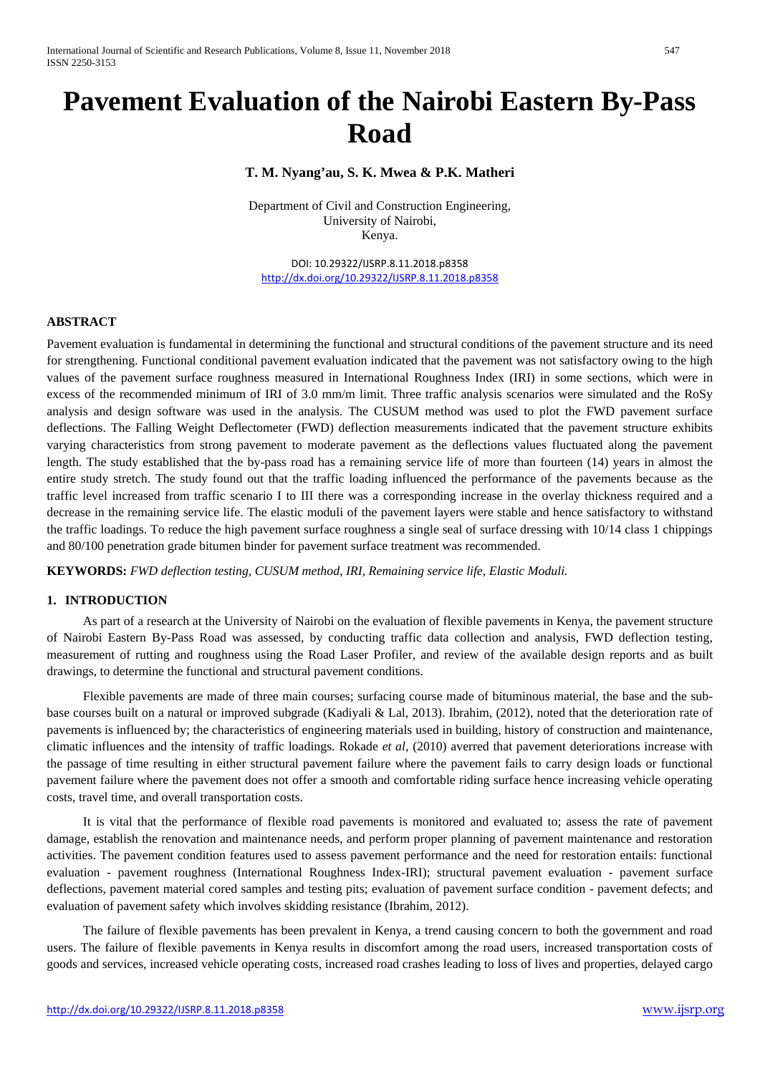# **Pavement Evaluation of the Nairobi Eastern By-Pass Road**

# **T. M. Nyang'au, S. K. Mwea & P.K. Matheri**

Department of Civil and Construction Engineering, University of Nairobi, Kenya.

DOI: 10.29322/IJSRP.8.11.2018.p8358 <http://dx.doi.org/10.29322/IJSRP.8.11.2018.p8358>

# **ABSTRACT**

Pavement evaluation is fundamental in determining the functional and structural conditions of the pavement structure and its need for strengthening. Functional conditional pavement evaluation indicated that the pavement was not satisfactory owing to the high values of the pavement surface roughness measured in International Roughness Index (IRI) in some sections, which were in excess of the recommended minimum of IRI of 3.0 mm/m limit. Three traffic analysis scenarios were simulated and the RoSy analysis and design software was used in the analysis. The CUSUM method was used to plot the FWD pavement surface deflections. The Falling Weight Deflectometer (FWD) deflection measurements indicated that the pavement structure exhibits varying characteristics from strong pavement to moderate pavement as the deflections values fluctuated along the pavement length. The study established that the by-pass road has a remaining service life of more than fourteen (14) years in almost the entire study stretch. The study found out that the traffic loading influenced the performance of the pavements because as the traffic level increased from traffic scenario I to III there was a corresponding increase in the overlay thickness required and a decrease in the remaining service life. The elastic moduli of the pavement layers were stable and hence satisfactory to withstand the traffic loadings. To reduce the high pavement surface roughness a single seal of surface dressing with 10/14 class 1 chippings and 80/100 penetration grade bitumen binder for pavement surface treatment was recommended.

**KEYWORDS:** *FWD deflection testing, CUSUM method, IRI, Remaining service life, Elastic Moduli.*

# **1. INTRODUCTION**

As part of a research at the University of Nairobi on the evaluation of flexible pavements in Kenya, the pavement structure of Nairobi Eastern By-Pass Road was assessed, by conducting traffic data collection and analysis, FWD deflection testing, measurement of rutting and roughness using the Road Laser Profiler, and review of the available design reports and as built drawings, to determine the functional and structural pavement conditions.

Flexible pavements are made of three main courses; surfacing course made of bituminous material, the base and the subbase courses built on a natural or improved subgrade (Kadiyali & Lal, 2013). Ibrahim, (2012), noted that the deterioration rate of pavements is influenced by; the characteristics of engineering materials used in building, history of construction and maintenance, climatic influences and the intensity of traffic loadings. Rokade *et al,* (2010) averred that pavement deteriorations increase with the passage of time resulting in either structural pavement failure where the pavement fails to carry design loads or functional pavement failure where the pavement does not offer a smooth and comfortable riding surface hence increasing vehicle operating costs, travel time, and overall transportation costs.

It is vital that the performance of flexible road pavements is monitored and evaluated to; assess the rate of pavement damage, establish the renovation and maintenance needs, and perform proper planning of pavement maintenance and restoration activities. The pavement condition features used to assess pavement performance and the need for restoration entails: functional evaluation - pavement roughness (International Roughness Index-IRI); structural pavement evaluation - pavement surface deflections, pavement material cored samples and testing pits; evaluation of pavement surface condition - pavement defects; and evaluation of pavement safety which involves skidding resistance (Ibrahim, 2012).

The failure of flexible pavements has been prevalent in Kenya, a trend causing concern to both the government and road users. The failure of flexible pavements in Kenya results in discomfort among the road users, increased transportation costs of goods and services, increased vehicle operating costs, increased road crashes leading to loss of lives and properties, delayed cargo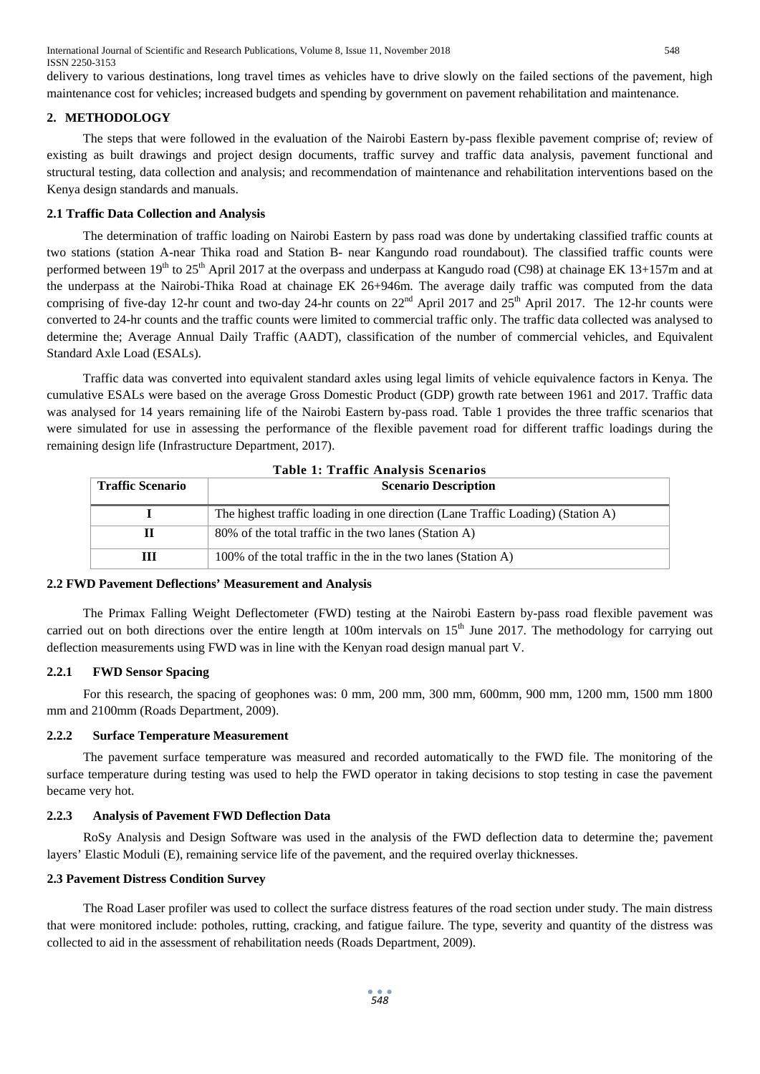International Journal of Scientific and Research Publications, Volume 8, Issue 11, November 2018 548 ISSN 2250-3153

delivery to various destinations, long travel times as vehicles have to drive slowly on the failed sections of the pavement, high maintenance cost for vehicles; increased budgets and spending by government on pavement rehabilitation and maintenance.

#### **2. METHODOLOGY**

The steps that were followed in the evaluation of the Nairobi Eastern by-pass flexible pavement comprise of; review of existing as built drawings and project design documents, traffic survey and traffic data analysis, pavement functional and structural testing, data collection and analysis; and recommendation of maintenance and rehabilitation interventions based on the Kenya design standards and manuals.

#### **2.1 Traffic Data Collection and Analysis**

The determination of traffic loading on Nairobi Eastern by pass road was done by undertaking classified traffic counts at two stations (station A-near Thika road and Station B- near Kangundo road roundabout). The classified traffic counts were performed between 19<sup>th</sup> to 25<sup>th</sup> April 2017 at the overpass and underpass at Kangudo road (C98) at chainage EK 13+157m and at the underpass at the Nairobi-Thika Road at chainage EK 26+946m. The average daily traffic was computed from the data comprising of five-day 12-hr count and two-day 24-hr counts on  $22<sup>nd</sup>$  April 2017 and  $25<sup>th</sup>$  April 2017. The 12-hr counts were converted to 24-hr counts and the traffic counts were limited to commercial traffic only. The traffic data collected was analysed to determine the; Average Annual Daily Traffic (AADT), classification of the number of commercial vehicles, and Equivalent Standard Axle Load (ESALs).

Traffic data was converted into equivalent standard axles using legal limits of vehicle equivalence factors in Kenya. The cumulative ESALs were based on the average Gross Domestic Product (GDP) growth rate between 1961 and 2017. Traffic data was analysed for 14 years remaining life of the Nairobi Eastern by-pass road. Table 1 provides the three traffic scenarios that were simulated for use in assessing the performance of the flexible pavement road for different traffic loadings during the remaining design life (Infrastructure Department, 2017).

| <b>Table 1: Traffic Analysis Scenarios</b>             |                                                                                 |  |  |  |  |
|--------------------------------------------------------|---------------------------------------------------------------------------------|--|--|--|--|
| <b>Scenario Description</b><br><b>Traffic Scenario</b> |                                                                                 |  |  |  |  |
|                                                        |                                                                                 |  |  |  |  |
|                                                        | The highest traffic loading in one direction (Lane Traffic Loading) (Station A) |  |  |  |  |
| П                                                      | 80% of the total traffic in the two lanes (Station A)                           |  |  |  |  |
| Ш                                                      | 100% of the total traffic in the in the two lanes (Station A)                   |  |  |  |  |

#### **2.2 FWD Pavement Deflections' Measurement and Analysis**

The Primax Falling Weight Deflectometer (FWD) testing at the Nairobi Eastern by-pass road flexible pavement was carried out on both directions over the entire length at 100m intervals on  $15<sup>th</sup>$  June 2017. The methodology for carrying out deflection measurements using FWD was in line with the Kenyan road design manual part V.

## **2.2.1 FWD Sensor Spacing**

For this research, the spacing of geophones was: 0 mm, 200 mm, 300 mm, 600mm, 900 mm, 1200 mm, 1500 mm 1800 mm and 2100mm (Roads Department, 2009).

#### **2.2.2 Surface Temperature Measurement**

The pavement surface temperature was measured and recorded automatically to the FWD file. The monitoring of the surface temperature during testing was used to help the FWD operator in taking decisions to stop testing in case the pavement became very hot.

#### **2.2.3 Analysis of Pavement FWD Deflection Data**

RoSy Analysis and Design Software was used in the analysis of the FWD deflection data to determine the; pavement layers' Elastic Moduli (E), remaining service life of the pavement, and the required overlay thicknesses.

#### **2.3 Pavement Distress Condition Survey**

The Road Laser profiler was used to collect the surface distress features of the road section under study. The main distress that were monitored include: potholes, rutting, cracking, and fatigue failure. The type, severity and quantity of the distress was collected to aid in the assessment of rehabilitation needs (Roads Department, 2009).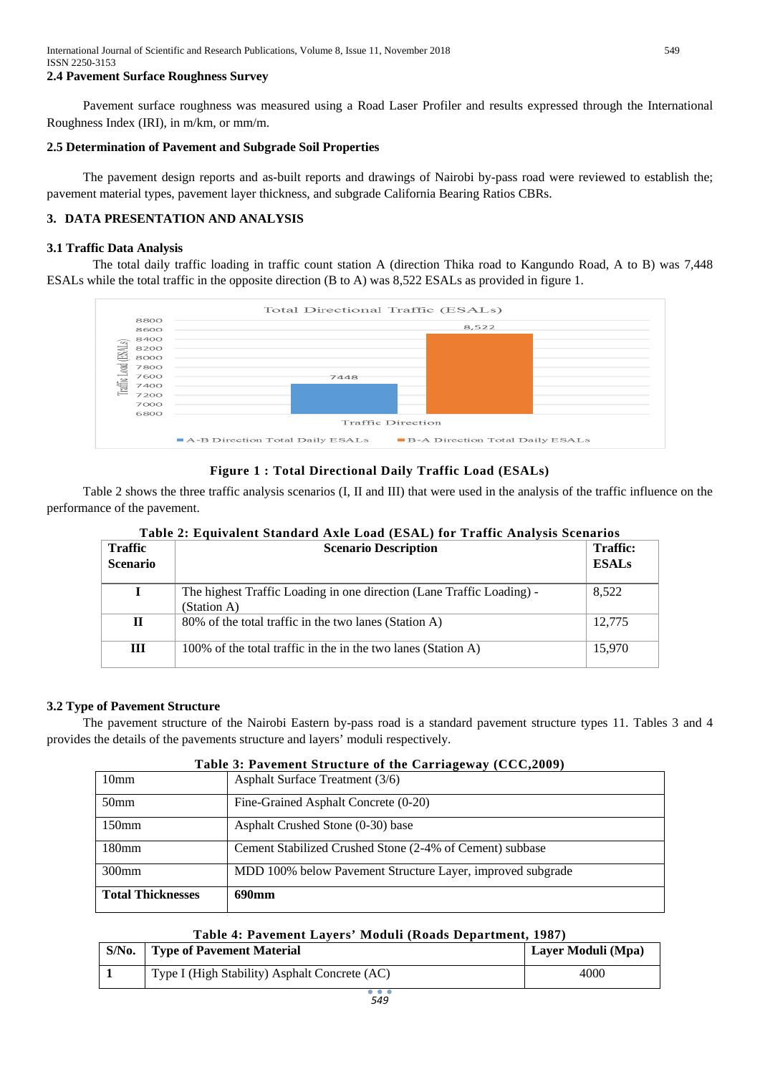# **2.4 Pavement Surface Roughness Survey**

Pavement surface roughness was measured using a Road Laser Profiler and results expressed through the International Roughness Index (IRI), in m/km, or mm/m.

## **2.5 Determination of Pavement and Subgrade Soil Properties**

The pavement design reports and as-built reports and drawings of Nairobi by-pass road were reviewed to establish the; pavement material types, pavement layer thickness, and subgrade California Bearing Ratios CBRs.

# **3. DATA PRESENTATION AND ANALYSIS**

## **3.1 Traffic Data Analysis**

The total daily traffic loading in traffic count station A (direction Thika road to Kangundo Road, A to B) was 7,448 ESALs while the total traffic in the opposite direction (B to A) was 8,522 ESALs as provided in figure 1.



# **Figure 1 : Total Directional Daily Traffic Load (ESALs)**

Table 2 shows the three traffic analysis scenarios (I, II and III) that were used in the analysis of the traffic influence on the performance of the pavement.

| <b>Traffic</b><br><b>Scenario</b> | <b>Scenario Description</b>                                                          | <b>Traffic:</b><br><b>ESALs</b> |
|-----------------------------------|--------------------------------------------------------------------------------------|---------------------------------|
|                                   | The highest Traffic Loading in one direction (Lane Traffic Loading) -<br>(Station A) | 8,522                           |
| П                                 | 80% of the total traffic in the two lanes (Station A)                                | 12,775                          |
| Ш                                 | 100% of the total traffic in the in the two lanes (Station A)                        | 15,970                          |

# **Table 2: Equivalent Standard Axle Load (ESAL) for Traffic Analysis Scenarios**

## **3.2 Type of Pavement Structure**

The pavement structure of the Nairobi Eastern by-pass road is a standard pavement structure types 11. Tables 3 and 4 provides the details of the pavements structure and layers' moduli respectively.

# **Table 3: Pavement Structure of the Carriageway (CCC,2009)**

| 10 <sub>mm</sub>         | Asphalt Surface Treatment (3/6)                            |
|--------------------------|------------------------------------------------------------|
| 50 <sub>mm</sub>         | Fine-Grained Asphalt Concrete (0-20)                       |
| $150$ mm                 | Asphalt Crushed Stone (0-30) base                          |
| 180mm                    | Cement Stabilized Crushed Stone (2-4% of Cement) subbase   |
| $300$ mm                 | MDD 100% below Pavement Structure Layer, improved subgrade |
| <b>Total Thicknesses</b> | 690mm                                                      |

## **Table 4: Pavement Layers' Moduli (Roads Department, 1987)**

| $S/N0$ . | <b>Type of Pavement Material</b>              | Layer Moduli (Mpa) |
|----------|-----------------------------------------------|--------------------|
|          | Type I (High Stability) Asphalt Concrete (AC) | 4000               |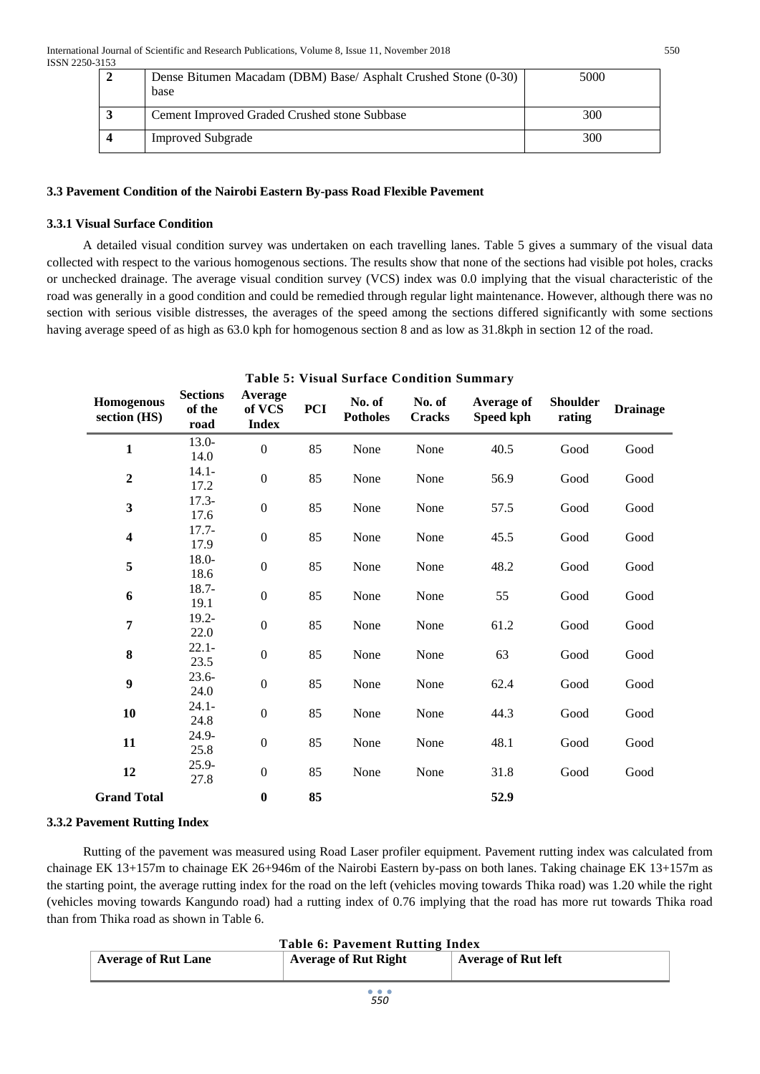| Dense Bitumen Macadam (DBM) Base/ Asphalt Crushed Stone (0-30)<br>base | 5000 |
|------------------------------------------------------------------------|------|
| Cement Improved Graded Crushed stone Subbase                           | 300  |
| <b>Improved Subgrade</b>                                               | 300  |

# **3.3 Pavement Condition of the Nairobi Eastern By-pass Road Flexible Pavement**

# **3.3.1 Visual Surface Condition**

A detailed visual condition survey was undertaken on each travelling lanes. Table 5 gives a summary of the visual data collected with respect to the various homogenous sections. The results show that none of the sections had visible pot holes, cracks or unchecked drainage. The average visual condition survey (VCS) index was 0.0 implying that the visual characteristic of the road was generally in a good condition and could be remedied through regular light maintenance. However, although there was no section with serious visible distresses, the averages of the speed among the sections differed significantly with some sections having average speed of as high as 63.0 kph for homogenous section 8 and as low as 31.8kph in section 12 of the road.

| <b>Table 5: Visual Surface Condition Summary</b> |                                   |                                   |            |                           |                         |                         |                           |                 |
|--------------------------------------------------|-----------------------------------|-----------------------------------|------------|---------------------------|-------------------------|-------------------------|---------------------------|-----------------|
| <b>Homogenous</b><br>section (HS)                | <b>Sections</b><br>of the<br>road | Average<br>of VCS<br><b>Index</b> | <b>PCI</b> | No. of<br><b>Potholes</b> | No. of<br><b>Cracks</b> | Average of<br>Speed kph | <b>Shoulder</b><br>rating | <b>Drainage</b> |
| $\mathbf{1}$                                     | $13.0-$<br>14.0                   | $\mathbf{0}$                      | 85         | None                      | None                    | 40.5                    | Good                      | Good            |
| $\boldsymbol{2}$                                 | $14.1 -$<br>17.2                  | $\boldsymbol{0}$                  | 85         | None                      | None                    | 56.9                    | Good                      | Good            |
| $\mathbf{3}$                                     | $17.3-$<br>17.6                   | $\mathbf{0}$                      | 85         | None                      | None                    | 57.5                    | Good                      | Good            |
| $\overline{\mathbf{4}}$                          | $17.7-$<br>17.9                   | $\boldsymbol{0}$                  | 85         | None                      | None                    | 45.5                    | Good                      | Good            |
| 5                                                | $18.0 -$<br>18.6                  | $\boldsymbol{0}$                  | 85         | None                      | None                    | 48.2                    | Good                      | Good            |
| 6                                                | $18.7 -$<br>19.1                  | $\boldsymbol{0}$                  | 85         | None                      | None                    | 55                      | Good                      | Good            |
| $\overline{7}$                                   | $19.2 -$<br>22.0                  | $\boldsymbol{0}$                  | 85         | None                      | None                    | 61.2                    | Good                      | Good            |
| 8                                                | $22.1 -$<br>23.5                  | $\boldsymbol{0}$                  | 85         | None                      | None                    | 63                      | Good                      | Good            |
| $\boldsymbol{9}$                                 | $23.6 -$<br>24.0                  | $\boldsymbol{0}$                  | 85         | None                      | None                    | 62.4                    | Good                      | Good            |
| 10                                               | $24.1 -$<br>24.8                  | $\boldsymbol{0}$                  | 85         | None                      | None                    | 44.3                    | Good                      | Good            |
| 11                                               | 24.9-<br>25.8                     | $\boldsymbol{0}$                  | 85         | None                      | None                    | 48.1                    | Good                      | Good            |
| 12                                               | $25.9 -$<br>27.8                  | $\boldsymbol{0}$                  | 85         | None                      | None                    | 31.8                    | Good                      | Good            |
| <b>Grand Total</b>                               |                                   | $\bf{0}$                          | 85         |                           |                         | 52.9                    |                           |                 |

# **3.3.2 Pavement Rutting Index**

Rutting of the pavement was measured using Road Laser profiler equipment. Pavement rutting index was calculated from chainage EK 13+157m to chainage EK 26+946m of the Nairobi Eastern by-pass on both lanes. Taking chainage EK 13+157m as the starting point, the average rutting index for the road on the left (vehicles moving towards Thika road) was 1.20 while the right (vehicles moving towards Kangundo road) had a rutting index of 0.76 implying that the road has more rut towards Thika road than from Thika road as shown in Table 6.

| <b>Table 6: Pavement Rutting Index</b> |                             |                            |  |  |  |
|----------------------------------------|-----------------------------|----------------------------|--|--|--|
| <b>Average of Rut Lane</b>             | <b>Average of Rut Right</b> | <b>Average of Rut left</b> |  |  |  |
|                                        |                             |                            |  |  |  |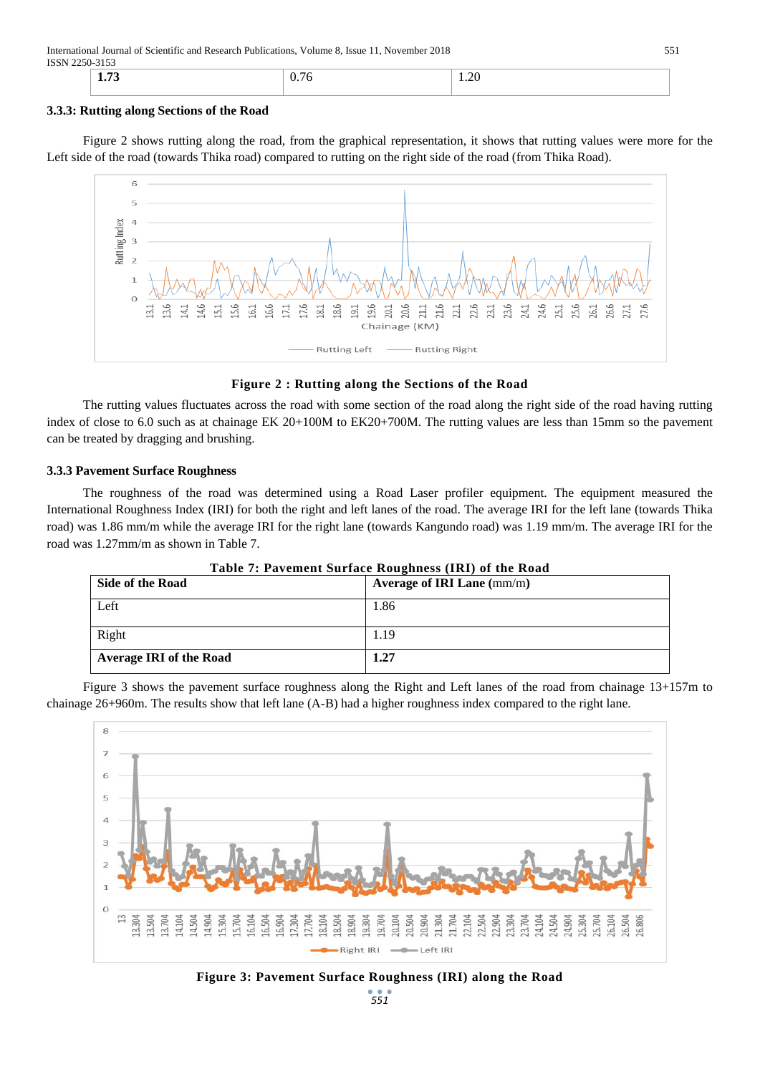International Journal of Scientific and Research Publications, Volume 8, Issue 11, November 2018 551 ISSN 2250-3153

| <b>DITLEJU JIJJ</b><br>. |                       |                  |  |  |  |  |  |
|--------------------------|-----------------------|------------------|--|--|--|--|--|
| — <b>—</b><br>1. I J     | $\mathbf{U}$ .<br>. . | $\Delta$<br>1.20 |  |  |  |  |  |
|                          |                       |                  |  |  |  |  |  |

## **3.3.3: Rutting along Sections of the Road**

Figure 2 shows rutting along the road, from the graphical representation, it shows that rutting values were more for the Left side of the road (towards Thika road) compared to rutting on the right side of the road (from Thika Road).



## **Figure 2 : Rutting along the Sections of the Road**

The rutting values fluctuates across the road with some section of the road along the right side of the road having rutting index of close to 6.0 such as at chainage EK 20+100M to EK20+700M. The rutting values are less than 15mm so the pavement can be treated by dragging and brushing.

## **3.3.3 Pavement Surface Roughness**

The roughness of the road was determined using a Road Laser profiler equipment. The equipment measured the International Roughness Index (IRI) for both the right and left lanes of the road. The average IRI for the left lane (towards Thika road) was 1.86 mm/m while the average IRI for the right lane (towards Kangundo road) was 1.19 mm/m. The average IRI for the road was 1.27mm/m as shown in Table 7.

| Side of the Road               | Average of IRI Lane $\text{(mm/m)}$ |
|--------------------------------|-------------------------------------|
| Left                           | 1.86                                |
| Right                          | 1.19                                |
| <b>Average IRI of the Road</b> | 1.27                                |

# **Table 7: Pavement Surface Roughness (IRI) of the Road**

Figure 3 shows the pavement surface roughness along the Right and Left lanes of the road from chainage 13+157m to chainage 26+960m. The results show that left lane (A-B) had a higher roughness index compared to the right lane.



*551* **Figure 3: Pavement Surface Roughness (IRI) along the Road**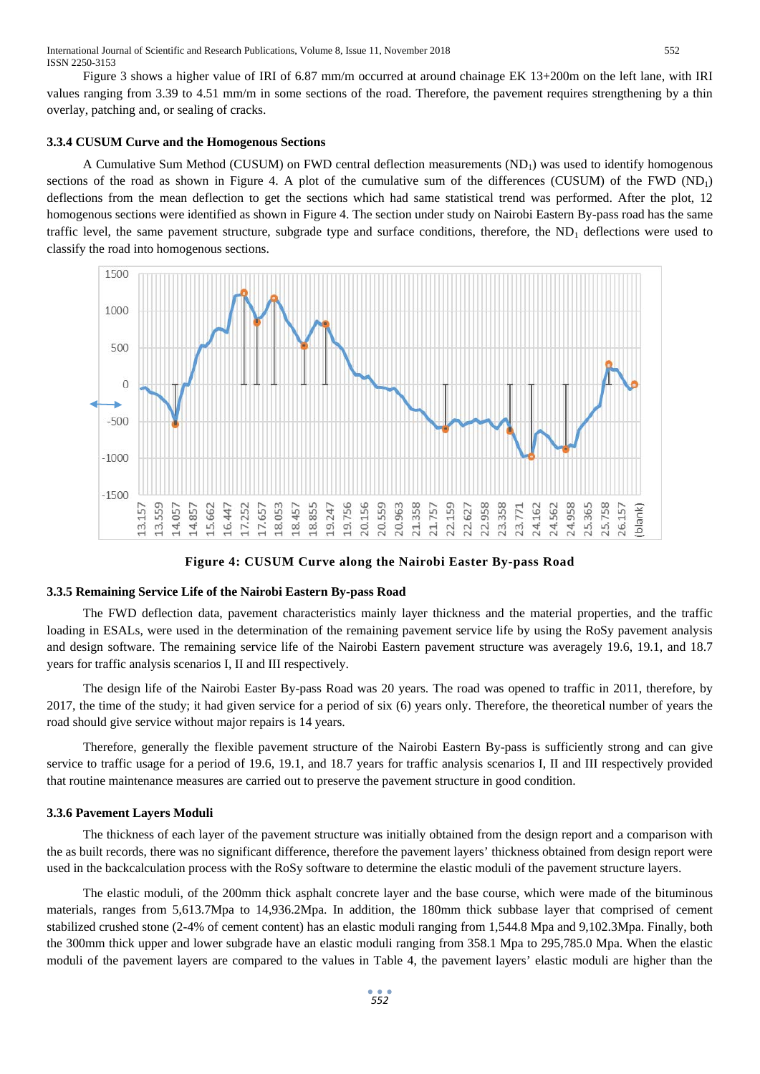Figure 3 shows a higher value of IRI of 6.87 mm/m occurred at around chainage EK 13+200m on the left lane, with IRI values ranging from 3.39 to 4.51 mm/m in some sections of the road. Therefore, the pavement requires strengthening by a thin overlay, patching and, or sealing of cracks.

## **3.3.4 CUSUM Curve and the Homogenous Sections**

A Cumulative Sum Method (CUSUM) on FWD central deflection measurements  $(ND_1)$  was used to identify homogenous sections of the road as shown in Figure 4. A plot of the cumulative sum of the differences (CUSUM) of the FWD  $(ND_1)$ deflections from the mean deflection to get the sections which had same statistical trend was performed. After the plot, 12 homogenous sections were identified as shown in Figure 4. The section under study on Nairobi Eastern By-pass road has the same traffic level, the same pavement structure, subgrade type and surface conditions, therefore, the  $ND_1$  deflections were used to classify the road into homogenous sections.



**Figure 4: CUSUM Curve along the Nairobi Easter By-pass Road**

#### **3.3.5 Remaining Service Life of the Nairobi Eastern By-pass Road**

The FWD deflection data, pavement characteristics mainly layer thickness and the material properties, and the traffic loading in ESALs, were used in the determination of the remaining pavement service life by using the RoSy pavement analysis and design software. The remaining service life of the Nairobi Eastern pavement structure was averagely 19.6, 19.1, and 18.7 years for traffic analysis scenarios I, II and III respectively.

The design life of the Nairobi Easter By-pass Road was 20 years. The road was opened to traffic in 2011, therefore, by 2017, the time of the study; it had given service for a period of six (6) years only. Therefore, the theoretical number of years the road should give service without major repairs is 14 years.

Therefore, generally the flexible pavement structure of the Nairobi Eastern By-pass is sufficiently strong and can give service to traffic usage for a period of 19.6, 19.1, and 18.7 years for traffic analysis scenarios I, II and III respectively provided that routine maintenance measures are carried out to preserve the pavement structure in good condition.

## **3.3.6 Pavement Layers Moduli**

The thickness of each layer of the pavement structure was initially obtained from the design report and a comparison with the as built records, there was no significant difference, therefore the pavement layers' thickness obtained from design report were used in the backcalculation process with the RoSy software to determine the elastic moduli of the pavement structure layers.

The elastic moduli, of the 200mm thick asphalt concrete layer and the base course, which were made of the bituminous materials, ranges from 5,613.7Mpa to 14,936.2Mpa. In addition, the 180mm thick subbase layer that comprised of cement stabilized crushed stone (2-4% of cement content) has an elastic moduli ranging from 1,544.8 Mpa and 9,102.3Mpa. Finally, both the 300mm thick upper and lower subgrade have an elastic moduli ranging from 358.1 Mpa to 295,785.0 Mpa. When the elastic moduli of the pavement layers are compared to the values in Table 4, the pavement layers' elastic moduli are higher than the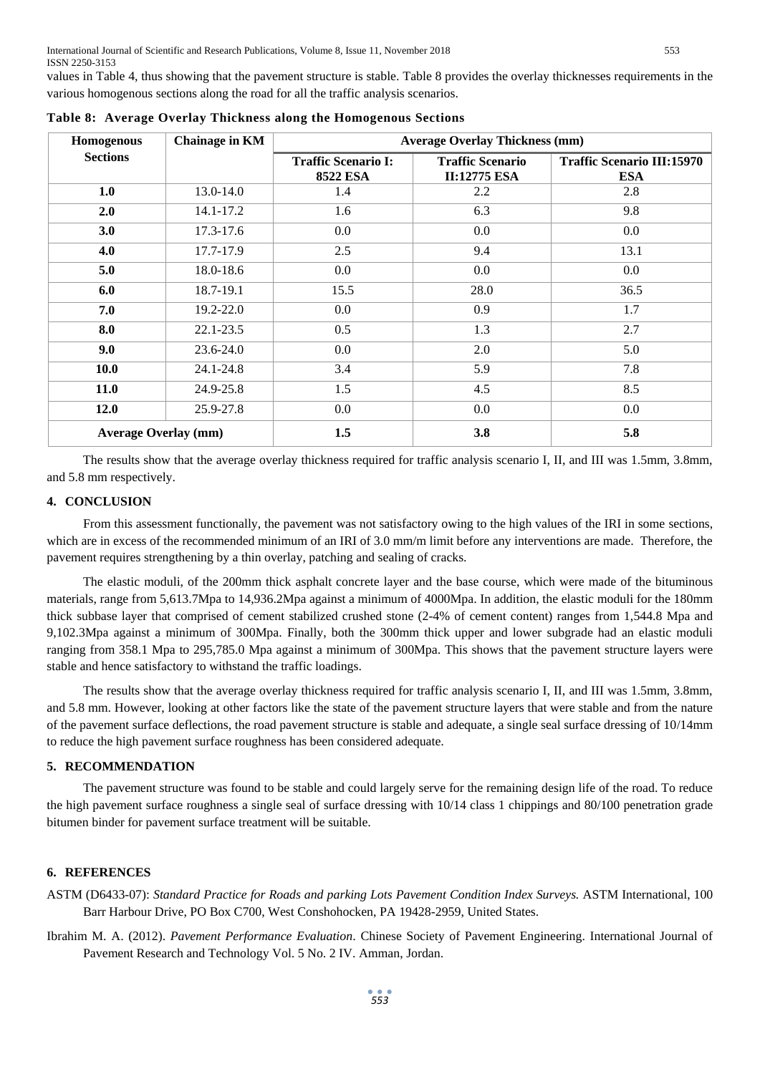values in Table 4, thus showing that the pavement structure is stable. Table 8 provides the overlay thicknesses requirements in the various homogenous sections along the road for all the traffic analysis scenarios.

| Homogenous                  | Chainage in KM | <b>Average Overlay Thickness (mm)</b>         |                                                |                                                 |
|-----------------------------|----------------|-----------------------------------------------|------------------------------------------------|-------------------------------------------------|
| <b>Sections</b>             |                | <b>Traffic Scenario I:</b><br><b>8522 ESA</b> | <b>Traffic Scenario</b><br><b>II:12775 ESA</b> | <b>Traffic Scenario III:15970</b><br><b>ESA</b> |
| 1.0                         | 13.0-14.0      | 1.4                                           | 2.2                                            | 2.8                                             |
| 2.0                         | 14.1-17.2      | 1.6                                           | 6.3                                            | 9.8                                             |
| 3.0                         | 17.3-17.6      | 0.0                                           | 0.0                                            | 0.0                                             |
| 4.0                         | 17.7-17.9      | 2.5                                           | 9.4                                            | 13.1                                            |
| 5.0                         | $18.0 - 18.6$  | 0.0                                           | $0.0\,$                                        | 0.0                                             |
| 6.0                         | 18.7-19.1      | 15.5                                          | 28.0                                           | 36.5                                            |
| 7.0                         | 19.2-22.0      | 0.0                                           | 0.9                                            | 1.7                                             |
| 8.0                         | $22.1 - 23.5$  | 0.5                                           | 1.3                                            | 2.7                                             |
| 9.0                         | 23.6-24.0      | 0.0                                           | 2.0                                            | 5.0                                             |
| 10.0                        | 24.1-24.8      | 3.4                                           | 5.9                                            | 7.8                                             |
| 11.0                        | 24.9-25.8      | 1.5                                           | 4.5                                            | 8.5                                             |
| 12.0                        | 25.9-27.8      | 0.0                                           | 0.0                                            | 0.0                                             |
| <b>Average Overlay (mm)</b> |                | 1.5                                           | 3.8                                            | 5.8                                             |

**Table 8: Average Overlay Thickness along the Homogenous Sections**

The results show that the average overlay thickness required for traffic analysis scenario I, II, and III was 1.5mm, 3.8mm, and 5.8 mm respectively.

## **4. CONCLUSION**

From this assessment functionally, the pavement was not satisfactory owing to the high values of the IRI in some sections, which are in excess of the recommended minimum of an IRI of 3.0 mm/m limit before any interventions are made. Therefore, the pavement requires strengthening by a thin overlay, patching and sealing of cracks.

The elastic moduli, of the 200mm thick asphalt concrete layer and the base course, which were made of the bituminous materials, range from 5,613.7Mpa to 14,936.2Mpa against a minimum of 4000Mpa. In addition, the elastic moduli for the 180mm thick subbase layer that comprised of cement stabilized crushed stone (2-4% of cement content) ranges from 1,544.8 Mpa and 9,102.3Mpa against a minimum of 300Mpa. Finally, both the 300mm thick upper and lower subgrade had an elastic moduli ranging from 358.1 Mpa to 295,785.0 Mpa against a minimum of 300Mpa. This shows that the pavement structure layers were stable and hence satisfactory to withstand the traffic loadings.

The results show that the average overlay thickness required for traffic analysis scenario I, II, and III was 1.5mm, 3.8mm, and 5.8 mm. However, looking at other factors like the state of the pavement structure layers that were stable and from the nature of the pavement surface deflections, the road pavement structure is stable and adequate, a single seal surface dressing of 10/14mm to reduce the high pavement surface roughness has been considered adequate.

## **5. RECOMMENDATION**

The pavement structure was found to be stable and could largely serve for the remaining design life of the road. To reduce the high pavement surface roughness a single seal of surface dressing with 10/14 class 1 chippings and 80/100 penetration grade bitumen binder for pavement surface treatment will be suitable.

# **6. REFERENCES**

ASTM (D6433-07): *Standard Practice for Roads and parking Lots Pavement Condition Index Surveys.* ASTM International, 100 Barr Harbour Drive, PO Box C700, West Conshohocken, PA 19428-2959, United States.

Ibrahim M. A. (2012). *Pavement Performance Evaluation*. Chinese Society of Pavement Engineering. International Journal of Pavement Research and Technology Vol. 5 No. 2 IV. Amman, Jordan.